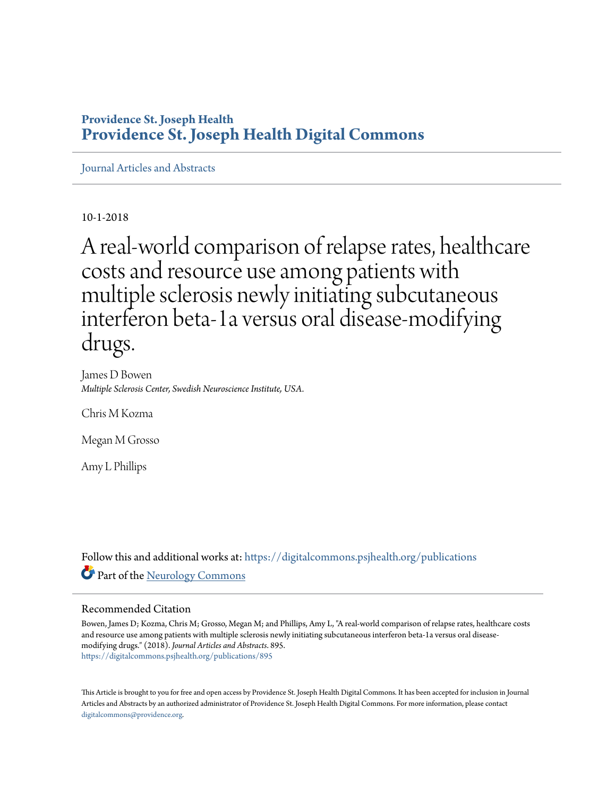## **Providence St. Joseph Health [Providence St. Joseph Health Digital Commons](https://digitalcommons.psjhealth.org?utm_source=digitalcommons.psjhealth.org%2Fpublications%2F895&utm_medium=PDF&utm_campaign=PDFCoverPages)**

[Journal Articles and Abstracts](https://digitalcommons.psjhealth.org/publications?utm_source=digitalcommons.psjhealth.org%2Fpublications%2F895&utm_medium=PDF&utm_campaign=PDFCoverPages)

10-1-2018

A real-world comparison of relapse rates, healthcare costs and resource use among patients with multiple sclerosis newly initiating subcutaneous interferon beta-1a versus oral disease-modifying drugs.

James D Bowen *Multiple Sclerosis Center, Swedish Neuroscience Institute, USA.*

Chris M Kozma

Megan M Grosso

Amy L Phillips

Follow this and additional works at: [https://digitalcommons.psjhealth.org/publications](https://digitalcommons.psjhealth.org/publications?utm_source=digitalcommons.psjhealth.org%2Fpublications%2F895&utm_medium=PDF&utm_campaign=PDFCoverPages) Part of the [Neurology Commons](http://network.bepress.com/hgg/discipline/692?utm_source=digitalcommons.psjhealth.org%2Fpublications%2F895&utm_medium=PDF&utm_campaign=PDFCoverPages)

#### Recommended Citation

Bowen, James D; Kozma, Chris M; Grosso, Megan M; and Phillips, Amy L, "A real-world comparison of relapse rates, healthcare costs and resource use among patients with multiple sclerosis newly initiating subcutaneous interferon beta-1a versus oral diseasemodifying drugs." (2018). *Journal Articles and Abstracts*. 895. [https://digitalcommons.psjhealth.org/publications/895](https://digitalcommons.psjhealth.org/publications/895?utm_source=digitalcommons.psjhealth.org%2Fpublications%2F895&utm_medium=PDF&utm_campaign=PDFCoverPages)

This Article is brought to you for free and open access by Providence St. Joseph Health Digital Commons. It has been accepted for inclusion in Journal Articles and Abstracts by an authorized administrator of Providence St. Joseph Health Digital Commons. For more information, please contact [digitalcommons@providence.org](mailto:digitalcommons@providence.org).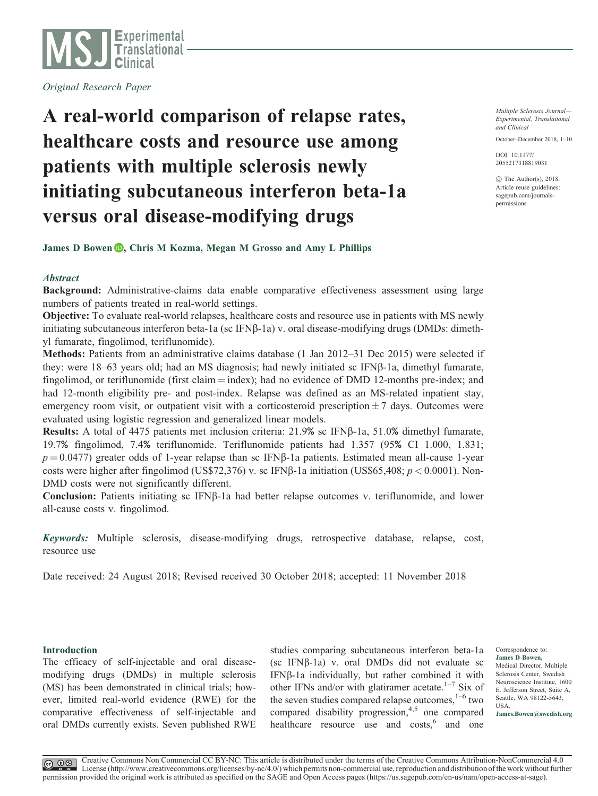

Original Research Paper

# A real-world comparison of relapse rates, healthcare costs and resource use among patients with multiple sclerosis newly initiating subcutaneous interferon beta-1a versus oral disease-modifying drugs

Multiple Sclerosis Journal— Experimental, Translational and Clinical

October–December 2018, 1–10

[DOI: 10.1177/](http://dx.doi.org/10.1177/2055217318819031) [2055217318819031](http://dx.doi.org/10.1177/2055217318819031)

 $\odot$  The Author(s), 2018. Article reuse guidelines: [sagepub.com/journals](http://uk.sagepub.com/en-gb/journals-permissions)[permissions](http://uk.sagepub.com/en-gb/journals-permissions)

### James D Bowen D, Chris M Kozma, Megan M Grosso and Amy L Phillips

#### **Abstract**

Background: Administrative-claims data enable comparative effectiveness assessment using large numbers of patients treated in real-world settings.

Objective: To evaluate real-world relapses, healthcare costs and resource use in patients with MS newly initiating subcutaneous interferon beta-1a (sc IFN $\beta$ -1a) v. oral disease-modifying drugs (DMDs: dimethyl fumarate, fingolimod, teriflunomide).

Methods: Patients from an administrative claims database (1 Jan 2012–31 Dec 2015) were selected if they: were  $18-63$  years old; had an MS diagnosis; had newly initiated sc IFN $\beta$ -1a, dimethyl fumarate, fingolimod, or teriflunomide (first claim  $=$  index); had no evidence of DMD 12-months pre-index; and had 12-month eligibility pre- and post-index. Relapse was defined as an MS-related inpatient stay, emergency room visit, or outpatient visit with a corticosteroid prescription  $\pm 7$  days. Outcomes were evaluated using logistic regression and generalized linear models.

Results: A total of 4475 patients met inclusion criteria: 21.9% sc IFNb-1a, 51.0% dimethyl fumarate, 19.7% fingolimod, 7.4% teriflunomide. Teriflunomide patients had 1.357 (95% CI 1.000, 1.831;  $p = 0.0477$ ) greater odds of 1-year relapse than sc IFN $\beta$ -1a patients. Estimated mean all-cause 1-year costs were higher after fingolimod (US\$72,376) v. sc IFN $\beta$ -1a initiation (US\$65,408;  $p < 0.0001$ ). Non-DMD costs were not significantly different.

**Conclusion:** Patients initiating sc IFN $\beta$ -1a had better relapse outcomes v. teriflunomide, and lower all-cause costs v. fingolimod.

Keywords: Multiple sclerosis, disease-modifying drugs, retrospective database, relapse, cost, resource use

Date received: 24 August 2018; Revised received 30 October 2018; accepted: 11 November 2018

#### Introduction

The efficacy of self-injectable and oral diseasemodifying drugs (DMDs) in multiple sclerosis (MS) has been demonstrated in clinical trials; however, limited real-world evidence (RWE) for the comparative effectiveness of self-injectable and oral DMDs currently exists. Seven published RWE

studies comparing subcutaneous interferon beta-1a (sc IFN $\beta$ -1a) v. oral DMDs did not evaluate sc  $IFN\beta-1a$  individually, but rather combined it with other IFNs and/or with glatiramer acetate. $1-7$  Six of the seven studies compared relapse outcomes, $1-6$  two compared disability progression, $4,5$  one compared healthcare resource use and  $costs$ , and one

#### Correspondence to: James D Bowen,

Medical Director, Multiple Sclerosis Center, Swedish Neuroscience Institute, 1600 E. Jefferson Street, Suite A, Seattle, WA 98122-5643, USA.

[James.Bowen@swedish.org](mailto:James.Bowen@swedish.org)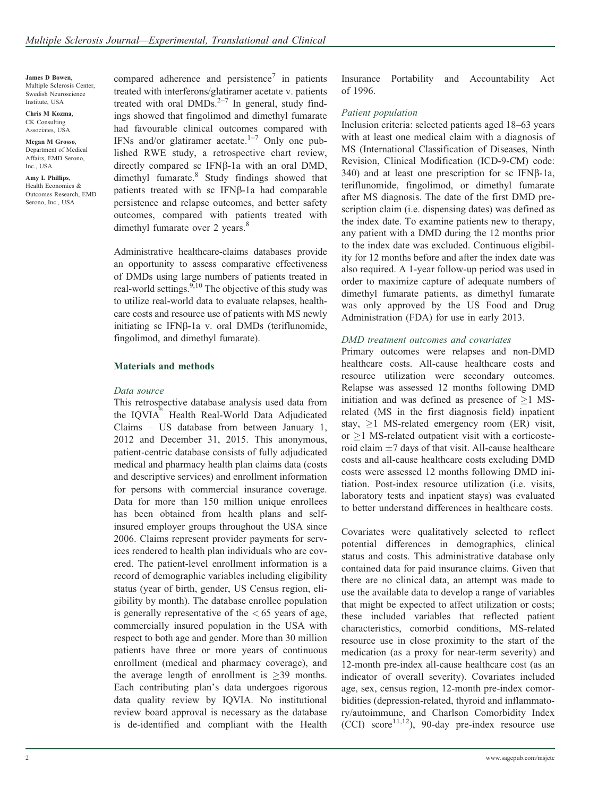James D Bowen, Multiple Sclerosis Center, Swedish Neuroscience Institute, USA

Chris M Kozma, CK Consulting Associates, USA

Megan M Grosso, Department of Medical Affairs, EMD Serono, Inc., USA

Amy L Phillips, Health Economics & Outcomes Research, EMD Serono, Inc., USA

compared adherence and persistence<sup>7</sup> in patients treated with interferons/glatiramer acetate v. patients treated with oral DMDs.<sup>2–7</sup> In general, study findings showed that fingolimod and dimethyl fumarate had favourable clinical outcomes compared with IFNs and/or glatiramer acetate. $1-7$  Only one published RWE study, a retrospective chart review, directly compared sc IFN $\beta$ -1a with an oral DMD, dimethyl fumarate.<sup>8</sup> Study findings showed that patients treated with sc IFN<sub>B</sub>-1a had comparable persistence and relapse outcomes, and better safety outcomes, compared with patients treated with dimethyl fumarate over 2 years.<sup>8</sup>

Administrative healthcare-claims databases provide an opportunity to assess comparative effectiveness of DMDs using large numbers of patients treated in real-world settings.<sup>9,10</sup> The objective of this study was to utilize real-world data to evaluate relapses, healthcare costs and resource use of patients with MS newly initiating sc IFN $\beta$ -1a v. oral DMDs (teriflunomide, fingolimod, and dimethyl fumarate).

#### Materials and methods

#### Data source

This retrospective database analysis used data from the IQVIA<sup>®</sup> Health Real-World Data Adjudicated Claims – US database from between January 1, 2012 and December 31, 2015. This anonymous, patient-centric database consists of fully adjudicated medical and pharmacy health plan claims data (costs and descriptive services) and enrollment information for persons with commercial insurance coverage. Data for more than 150 million unique enrollees has been obtained from health plans and selfinsured employer groups throughout the USA since 2006. Claims represent provider payments for services rendered to health plan individuals who are covered. The patient-level enrollment information is a record of demographic variables including eligibility status (year of birth, gender, US Census region, eligibility by month). The database enrollee population is generally representative of the  $\lt 65$  years of age, commercially insured population in the USA with respect to both age and gender. More than 30 million patients have three or more years of continuous enrollment (medical and pharmacy coverage), and the average length of enrollment is  $\geq$ 39 months. Each contributing plan's data undergoes rigorous data quality review by IQVIA. No institutional review board approval is necessary as the database is de-identified and compliant with the Health

Insurance Portability and Accountability Act of 1996.

#### Patient population

Inclusion criteria: selected patients aged 18–63 years with at least one medical claim with a diagnosis of MS (International Classification of Diseases, Ninth Revision, Clinical Modification (ICD-9-CM) code: 340) and at least one prescription for sc IFN $\beta$ -1a, teriflunomide, fingolimod, or dimethyl fumarate after MS diagnosis. The date of the first DMD prescription claim (i.e. dispensing dates) was defined as the index date. To examine patients new to therapy, any patient with a DMD during the 12 months prior to the index date was excluded. Continuous eligibility for 12 months before and after the index date was also required. A 1-year follow-up period was used in order to maximize capture of adequate numbers of dimethyl fumarate patients, as dimethyl fumarate was only approved by the US Food and Drug Administration (FDA) for use in early 2013.

#### DMD treatment outcomes and covariates

Primary outcomes were relapses and non-DMD healthcare costs. All-cause healthcare costs and resource utilization were secondary outcomes. Relapse was assessed 12 months following DMD initiation and was defined as presence of  $\geq$  1 MSrelated (MS in the first diagnosis field) inpatient stay,  $\geq$ 1 MS-related emergency room (ER) visit, or  $>1$  MS-related outpatient visit with a corticosteroid claim  $\pm 7$  days of that visit. All-cause healthcare costs and all-cause healthcare costs excluding DMD costs were assessed 12 months following DMD initiation. Post-index resource utilization (i.e. visits, laboratory tests and inpatient stays) was evaluated to better understand differences in healthcare costs.

Covariates were qualitatively selected to reflect potential differences in demographics, clinical status and costs. This administrative database only contained data for paid insurance claims. Given that there are no clinical data, an attempt was made to use the available data to develop a range of variables that might be expected to affect utilization or costs; these included variables that reflected patient characteristics, comorbid conditions, MS-related resource use in close proximity to the start of the medication (as a proxy for near-term severity) and 12-month pre-index all-cause healthcare cost (as an indicator of overall severity). Covariates included age, sex, census region, 12-month pre-index comorbidities (depression-related, thyroid and inflammatory/autoimmune, and Charlson Comorbidity Index  $(CCI)$  score<sup>11,12</sup>), 90-day pre-index resource use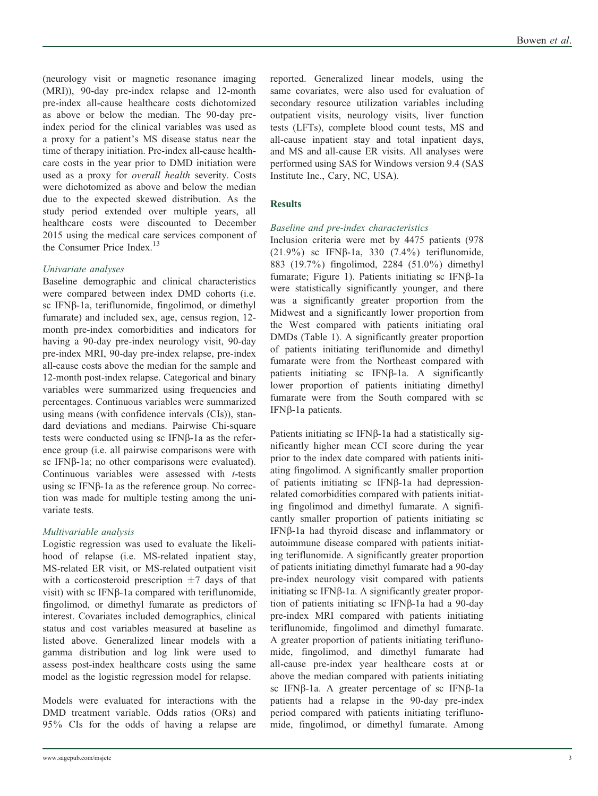(neurology visit or magnetic resonance imaging (MRI)), 90-day pre-index relapse and 12-month pre-index all-cause healthcare costs dichotomized as above or below the median. The 90-day preindex period for the clinical variables was used as a proxy for a patient's MS disease status near the time of therapy initiation. Pre-index all-cause healthcare costs in the year prior to DMD initiation were used as a proxy for overall health severity. Costs were dichotomized as above and below the median due to the expected skewed distribution. As the study period extended over multiple years, all healthcare costs were discounted to December 2015 using the medical care services component of the Consumer Price Index.<sup>13</sup>

#### Univariate analyses

Baseline demographic and clinical characteristics were compared between index DMD cohorts (i.e. sc IFN $\beta$ -1a, teriflunomide, fingolimod, or dimethyl fumarate) and included sex, age, census region, 12 month pre-index comorbidities and indicators for having a 90-day pre-index neurology visit, 90-day pre-index MRI, 90-day pre-index relapse, pre-index all-cause costs above the median for the sample and 12-month post-index relapse. Categorical and binary variables were summarized using frequencies and percentages. Continuous variables were summarized using means (with confidence intervals (CIs)), standard deviations and medians. Pairwise Chi-square tests were conducted using sc  $IFN\beta-1a$  as the reference group (i.e. all pairwise comparisons were with sc IFNB-1a; no other comparisons were evaluated). Continuous variables were assessed with t-tests using sc IFN $\beta$ -1a as the reference group. No correction was made for multiple testing among the univariate tests.

#### Multivariable analysis

Logistic regression was used to evaluate the likelihood of relapse (i.e. MS-related inpatient stay, MS-related ER visit, or MS-related outpatient visit with a corticosteroid prescription  $\pm 7$  days of that visit) with sc IFN<sub>B</sub>-1a compared with teriflunomide, fingolimod, or dimethyl fumarate as predictors of interest. Covariates included demographics, clinical status and cost variables measured at baseline as listed above. Generalized linear models with a gamma distribution and log link were used to assess post-index healthcare costs using the same model as the logistic regression model for relapse.

Models were evaluated for interactions with the DMD treatment variable. Odds ratios (ORs) and 95% CIs for the odds of having a relapse are

Institute Inc., Cary, NC, USA). **Results** Baseline and pre-index characteristics Inclusion criteria were met by 4475 patients (978

(21.9%) sc IFN $\beta$ -1a, 330 (7.4%) teriflunomide, 883 (19.7%) fingolimod, 2284 (51.0%) dimethyl fumarate; Figure 1). Patients initiating sc IFN $\beta$ -1a were statistically significantly younger, and there was a significantly greater proportion from the Midwest and a significantly lower proportion from the West compared with patients initiating oral DMDs (Table 1). A significantly greater proportion of patients initiating teriflunomide and dimethyl fumarate were from the Northeast compared with patients initiating sc IFN $\beta$ -1a. A significantly lower proportion of patients initiating dimethyl fumarate were from the South compared with sc IFNb-1a patients.

reported. Generalized linear models, using the same covariates, were also used for evaluation of secondary resource utilization variables including outpatient visits, neurology visits, liver function tests (LFTs), complete blood count tests, MS and all-cause inpatient stay and total inpatient days, and MS and all-cause ER visits. All analyses were performed using SAS for Windows version 9.4 (SAS

Patients initiating sc IFN $\beta$ -1a had a statistically significantly higher mean CCI score during the year prior to the index date compared with patients initiating fingolimod. A significantly smaller proportion of patients initiating sc IFN $\beta$ -1a had depressionrelated comorbidities compared with patients initiating fingolimod and dimethyl fumarate. A significantly smaller proportion of patients initiating sc IFN $\beta$ -1a had thyroid disease and inflammatory or autoimmune disease compared with patients initiating teriflunomide. A significantly greater proportion of patients initiating dimethyl fumarate had a 90-day pre-index neurology visit compared with patients initiating sc IFN $\beta$ -1a. A significantly greater proportion of patients initiating sc IFN $\beta$ -1a had a 90-day pre-index MRI compared with patients initiating teriflunomide, fingolimod and dimethyl fumarate. A greater proportion of patients initiating teriflunomide, fingolimod, and dimethyl fumarate had all-cause pre-index year healthcare costs at or above the median compared with patients initiating sc IFN $\beta$ -1a. A greater percentage of sc IFN $\beta$ -1a patients had a relapse in the 90-day pre-index period compared with patients initiating teriflunomide, fingolimod, or dimethyl fumarate. Among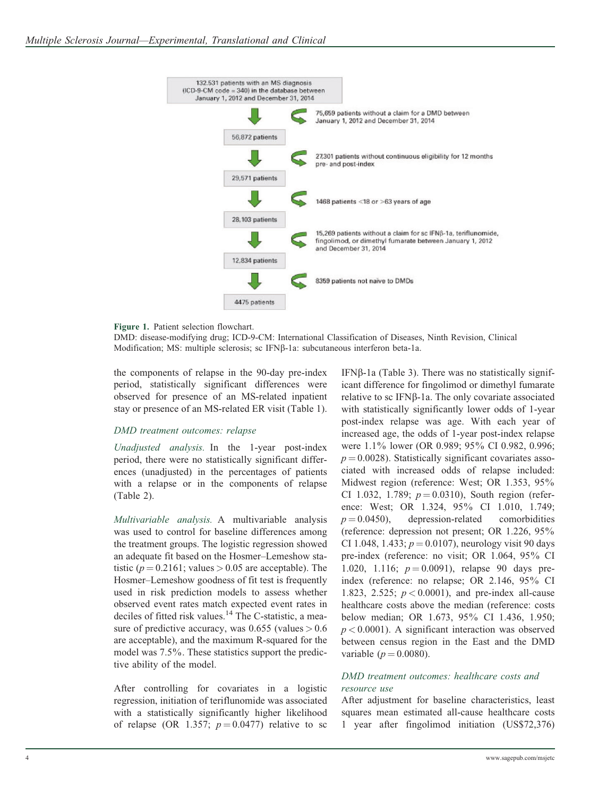



DMD: disease-modifying drug; ICD-9-CM: International Classification of Diseases, Ninth Revision, Clinical Modification; MS: multiple sclerosis; sc IFNß-1a: subcutaneous interferon beta-1a.

the components of relapse in the 90-day pre-index period, statistically significant differences were observed for presence of an MS-related inpatient stay or presence of an MS-related ER visit (Table 1).

#### DMD treatment outcomes: relapse

Unadjusted analysis. In the 1-year post-index period, there were no statistically significant differences (unadjusted) in the percentages of patients with a relapse or in the components of relapse (Table 2).

Multivariable analysis. A multivariable analysis was used to control for baseline differences among the treatment groups. The logistic regression showed an adequate fit based on the Hosmer–Lemeshow statistic ( $p = 0.2161$ ; values  $> 0.05$  are acceptable). The Hosmer–Lemeshow goodness of fit test is frequently used in risk prediction models to assess whether observed event rates match expected event rates in deciles of fitted risk values.<sup>14</sup> The C-statistic, a measure of predictive accuracy, was  $0.655$  (values  $> 0.6$ are acceptable), and the maximum R-squared for the model was 7.5%. These statistics support the predictive ability of the model.

After controlling for covariates in a logistic regression, initiation of teriflunomide was associated with a statistically significantly higher likelihood of relapse (OR 1.357;  $p = 0.0477$ ) relative to sc

IFN $\beta$ -1a (Table 3). There was no statistically significant difference for fingolimod or dimethyl fumarate relative to sc IFNb-1a. The only covariate associated with statistically significantly lower odds of 1-year post-index relapse was age. With each year of increased age, the odds of 1-year post-index relapse were 1.1% lower (OR 0.989; 95% CI 0.982, 0.996;  $p = 0.0028$ ). Statistically significant covariates associated with increased odds of relapse included: Midwest region (reference: West; OR 1.353, 95% CI 1.032, 1.789;  $p = 0.0310$ ), South region (reference: West; OR 1.324, 95% CI 1.010, 1.749;  $p = 0.0450$ , depression-related comorbidities (reference: depression not present; OR 1.226, 95% CI 1.048, 1.433;  $p = 0.0107$ ), neurology visit 90 days pre-index (reference: no visit; OR 1.064, 95% CI 1.020, 1.116;  $p = 0.0091$ ), relapse 90 days preindex (reference: no relapse; OR 2.146, 95% CI 1.823, 2.525;  $p < 0.0001$ ), and pre-index all-cause healthcare costs above the median (reference: costs below median; OR 1.673, 95% CI 1.436, 1.950;  $p < 0.0001$ ). A significant interaction was observed between census region in the East and the DMD variable ( $p = 0.0080$ ).

#### DMD treatment outcomes: healthcare costs and resource use

After adjustment for baseline characteristics, least squares mean estimated all-cause healthcare costs 1 year after fingolimod initiation (US\$72,376)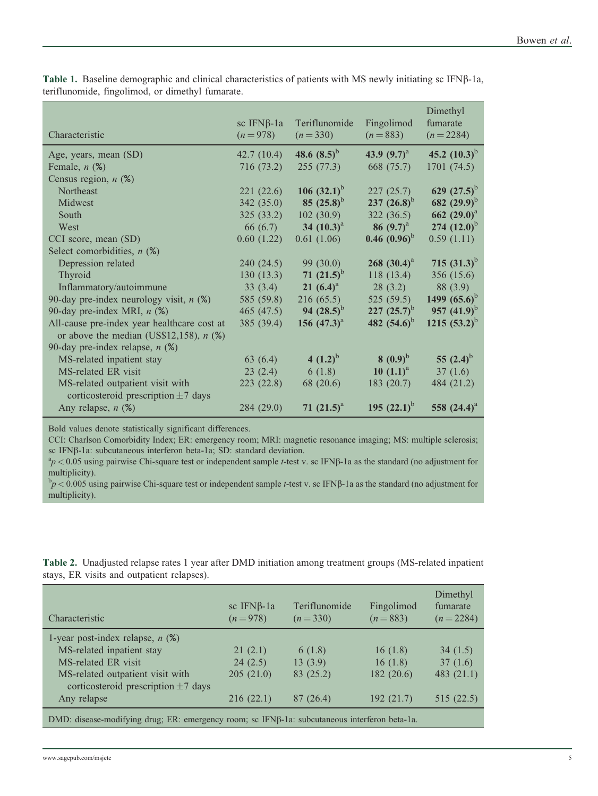|                                             | sc IFN $\beta$ -1a | Teriflunomide    | Fingolimod       | Dimethyl<br>fumarate |
|---------------------------------------------|--------------------|------------------|------------------|----------------------|
| Characteristic                              | $(n=978)$          | $(n=330)$        | $(n=883)$        | $(n=2284)$           |
| Age, years, mean (SD)                       | 42.7(10.4)         | 48.6 $(8.5)^{b}$ | 43.9 $(9.7)^{a}$ | 45.2 $(10.3)^{b}$    |
| Female, $n$ $(\%)$                          | 716 (73.2)         | 255(77.3)        | 668 (75.7)       | 1701 (74.5)          |
| Census region, $n$ $(\%)$                   |                    |                  |                  |                      |
| <b>Northeast</b>                            | 221(22.6)          | 106 $(32.1)^b$   | 227(25.7)        | 629 $(27.5)^b$       |
| Midwest                                     | 342 (35.0)         | 85 $(25.8)^b$    | 237 $(26.8)^b$   | 682 $(29.9)^{b}$     |
| South                                       | 325(33.2)          | 102(30.9)        | 322(36.5)        | 662 $(29.0)^a$       |
| West                                        | 66 (6.7)           | 34 $(10.3)^a$    | 86 $(9.7)^{a}$   | 274 $(12.0)^b$       |
| CCI score, mean (SD)                        | 0.60(1.22)         | 0.61(1.06)       | $0.46~(0.96)^b$  | 0.59(1.11)           |
| Select comorbidities, $n$ (%)               |                    |                  |                  |                      |
| Depression related                          | 240(24.5)          | 99(30.0)         | 268 $(30.4)^a$   | 715 $(31.3)^b$       |
| Thyroid                                     | 130(13.3)          | 71 $(21.5)^{b}$  | 118(13.4)        | 356 (15.6)           |
| Inflammatory/autoimmune                     | 33(3.4)            | 21 $(6.4)^a$     | 28(3.2)          | 88 (3.9)             |
| 90-day pre-index neurology visit, $n$ (%)   | 585 (59.8)         | 216(65.5)        | 525(59.5)        | 1499 $(65.6)^b$      |
| 90-day pre-index MRI, $n$ (%)               | 465 $(47.5)$       | 94 $(28.5)^b$    | 227 $(25.7)^{b}$ | 957 $(41.9)^b$       |
| All-cause pre-index year healthcare cost at | 385 (39.4)         | $156$ $(47.3)^a$ | 482 $(54.6)^b$   | 1215 $(53.2)^{b}$    |
| or above the median (US\$12,158), $n$ (%)   |                    |                  |                  |                      |
| 90-day pre-index relapse, $n$ (%)           |                    |                  |                  |                      |
| MS-related inpatient stay                   | 63 $(6.4)$         | 4 $(1.2)^{b}$    | 8 $(0.9)^b$      | 55 $(2.4)^b$         |
| MS-related ER visit                         | 23(2.4)            | 6(1.8)           | 10 $(1.1)^a$     | 37(1.6)              |
| MS-related outpatient visit with            | 223(22.8)          | 68 (20.6)        | 183(20.7)        | 484 (21.2)           |
| corticosteroid prescription $\pm 7$ days    |                    |                  |                  |                      |
| Any relapse, $n$ $(\%)$                     | 284 (29.0)         | 71 $(21.5)^{a}$  | 195 $(22.1)^b$   | 558 $(24.4)^a$       |

Table 1. Baseline demographic and clinical characteristics of patients with MS newly initiating sc IFNB-1a, teriflunomide, fingolimod, or dimethyl fumarate.

Bold values denote statistically significant differences.

CCI: Charlson Comorbidity Index; ER: emergency room; MRI: magnetic resonance imaging; MS: multiple sclerosis; sc IFNß-1a: subcutaneous interferon beta-1a; SD: standard deviation.

 ${}^{a}p$  < 0.05 using pairwise Chi-square test or independent sample t-test v. sc IFN $\beta$ -1a as the standard (no adjustment for multiplicity).

 $b_p$  < 0.005 using pairwise Chi-square test or independent sample t-test v. sc IFNB-1a as the standard (no adjustment for multiplicity).

Table 2. Unadjusted relapse rates 1 year after DMD initiation among treatment groups (MS-related inpatient stays, ER visits and outpatient relapses).

| Characteristic                                                                                        | sc IFN $\beta$ -1a<br>$(n=978)$ | Teriflunomide<br>$(n=330)$ | Fingolimod<br>$(n=883)$ | Dimethyl<br>fumarate<br>$(n=2284)$ |
|-------------------------------------------------------------------------------------------------------|---------------------------------|----------------------------|-------------------------|------------------------------------|
| 1-year post-index relapse, $n$ $(\%)$                                                                 |                                 |                            |                         |                                    |
| MS-related inpatient stay                                                                             | 21(2.1)                         | 6 (1.8)                    | 16(1.8)                 | 34(1.5)                            |
| MS-related ER visit                                                                                   | 24(2.5)                         | 13(3.9)                    | 16(1.8)                 | 37(1.6)                            |
| MS-related outpatient visit with                                                                      | 205(21.0)                       | 83 (25.2)                  | 182(20.6)               | 483 $(21.1)$                       |
| corticosteroid prescription $\pm 7$ days                                                              |                                 |                            |                         |                                    |
| Any relapse                                                                                           | 216(22.1)                       | 87(26.4)                   | 192(21.7)               | 515(22.5)                          |
| DMD: disease-modifying drug; ER: emergency room; sc IFN $\beta$ -1a: subcutaneous interferon beta-1a. |                                 |                            |                         |                                    |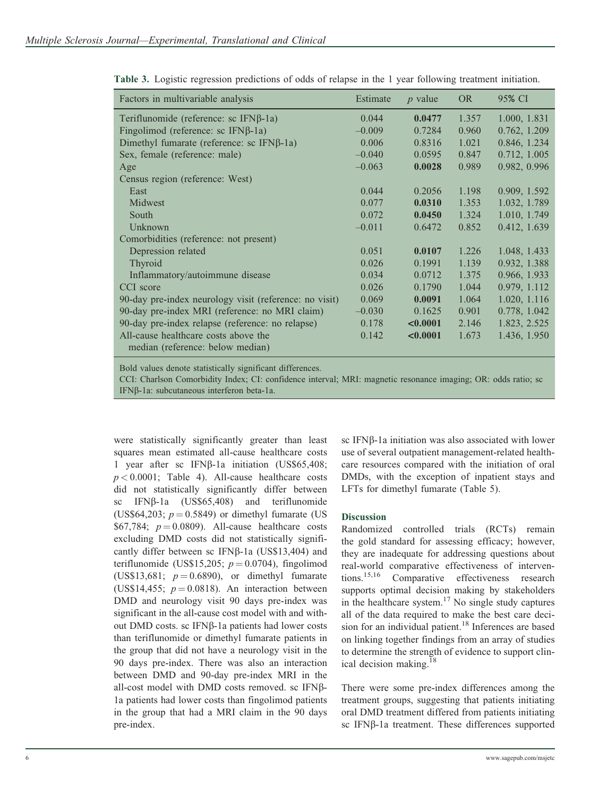| Factors in multivariable analysis                      | Estimate | <i>p</i> value | OR.   | 95% CI       |
|--------------------------------------------------------|----------|----------------|-------|--------------|
| Teriflunomide (reference: sc IFN $\beta$ -1a)          | 0.044    | 0.0477         | 1.357 | 1.000, 1.831 |
| Fingolimod (reference: sc IFN $\beta$ -1a)             | $-0.009$ | 0.7284         | 0.960 | 0.762, 1.209 |
| Dimethyl fumarate (reference: sc IFN $\beta$ -1a)      | 0.006    | 0.8316         | 1.021 | 0.846, 1.234 |
| Sex, female (reference: male)                          | $-0.040$ | 0.0595         | 0.847 | 0.712, 1.005 |
| Age                                                    | $-0.063$ | 0.0028         | 0.989 | 0.982, 0.996 |
| Census region (reference: West)                        |          |                |       |              |
| East                                                   | 0.044    | 0.2056         | 1.198 | 0.909, 1.592 |
| Midwest                                                | 0.077    | 0.0310         | 1.353 | 1.032, 1.789 |
| South                                                  | 0.072    | 0.0450         | 1.324 | 1.010, 1.749 |
| Unknown                                                | $-0.011$ | 0.6472         | 0.852 | 0.412, 1.639 |
| Comorbidities (reference: not present)                 |          |                |       |              |
| Depression related                                     | 0.051    | 0.0107         | 1.226 | 1.048, 1.433 |
| Thyroid                                                | 0.026    | 0.1991         | 1.139 | 0.932, 1.388 |
| Inflammatory/autoimmune disease                        | 0.034    | 0.0712         | 1.375 | 0.966, 1.933 |
| CCI score                                              | 0.026    | 0.1790         | 1.044 | 0.979, 1.112 |
| 90-day pre-index neurology visit (reference: no visit) | 0.069    | 0.0091         | 1.064 | 1.020, 1.116 |
| 90-day pre-index MRI (reference: no MRI claim)         | $-0.030$ | 0.1625         | 0.901 | 0.778, 1.042 |
| 90-day pre-index relapse (reference: no relapse)       | 0.178    | < 0.0001       | 2.146 | 1.823, 2.525 |
| All-cause healthcare costs above the                   | 0.142    | < 0.0001       | 1.673 | 1.436, 1.950 |
| median (reference: below median)                       |          |                |       |              |

Table 3. Logistic regression predictions of odds of relapse in the 1 year following treatment initiation.

Bold values denote statistically significant differences.

CCI: Charlson Comorbidity Index; CI: confidence interval; MRI: magnetic resonance imaging; OR: odds ratio; sc IFN $\beta$ -1a: subcutaneous interferon beta-1a.

were statistically significantly greater than least squares mean estimated all-cause healthcare costs 1 year after sc IFN $\beta$ -1a initiation (US\$65,408;  $p < 0.0001$ ; Table 4). All-cause healthcare costs did not statistically significantly differ between sc IFN $\beta$ -1a (US\$65,408) and teriflunomide (US\$64,203;  $p = 0.5849$ ) or dimethyl fumarate (US \$67,784;  $p = 0.0809$ ). All-cause healthcare costs excluding DMD costs did not statistically significantly differ between sc IFN $\beta$ -1a (US\$13,404) and teriflunomide (US\$15,205;  $p = 0.0704$ ), fingolimod (US\$13,681;  $p = 0.6890$ ), or dimethyl fumarate (US\$14,455;  $p = 0.0818$ ). An interaction between DMD and neurology visit 90 days pre-index was significant in the all-cause cost model with and without DMD costs. sc IFN $\beta$ -1a patients had lower costs than teriflunomide or dimethyl fumarate patients in the group that did not have a neurology visit in the 90 days pre-index. There was also an interaction between DMD and 90-day pre-index MRI in the all-cost model with DMD costs removed. sc IFN $\beta$ -1a patients had lower costs than fingolimod patients in the group that had a MRI claim in the 90 days pre-index.

sc IFNB-1a initiation was also associated with lower use of several outpatient management-related healthcare resources compared with the initiation of oral DMDs, with the exception of inpatient stays and LFTs for dimethyl fumarate (Table 5).

#### **Discussion**

Randomized controlled trials (RCTs) remain the gold standard for assessing efficacy; however, they are inadequate for addressing questions about real-world comparative effectiveness of interven-<br>tions.<sup>15,16</sup> Comparative effectiveness research Comparative effectiveness research supports optimal decision making by stakeholders in the healthcare system.<sup>17</sup> No single study captures all of the data required to make the best care decision for an individual patient.<sup>18</sup> Inferences are based on linking together findings from an array of studies to determine the strength of evidence to support clinical decision making. $18$ 

There were some pre-index differences among the treatment groups, suggesting that patients initiating oral DMD treatment differed from patients initiating sc IFN $\beta$ -1a treatment. These differences supported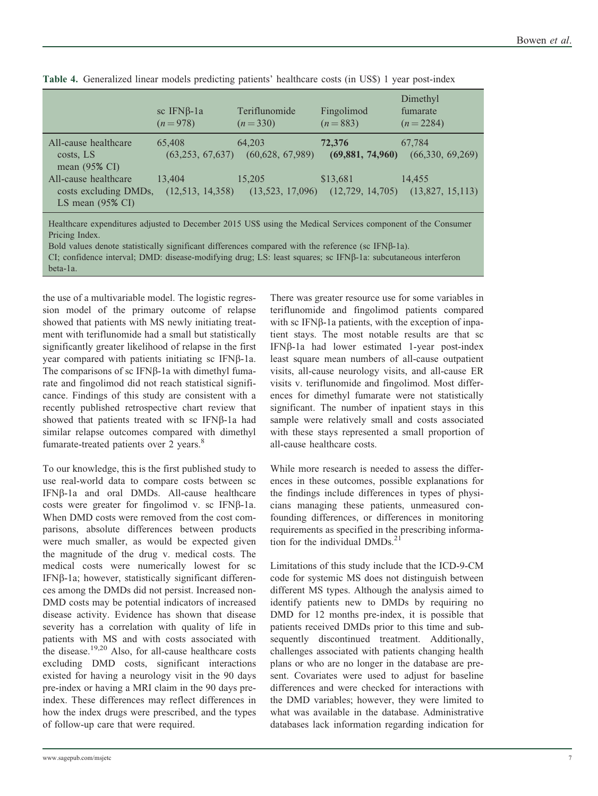|                                                                              | sc IFN $\beta$ -1a<br>$(n=978)$ | Teriflunomide<br>$(n=330)$ | Fingolimod<br>$(n=883)$      | Dimethyl<br>fumarate<br>$(n=2284)$ |
|------------------------------------------------------------------------------|---------------------------------|----------------------------|------------------------------|------------------------------------|
| All-cause healthcare<br>costs, LS<br>mean (95% CI)                           | 65,408<br>(63, 253, 67, 637)    | 64,203<br>(60,628, 67,989) | 72,376<br>(69,881, 74,960)   | 67,784<br>(66,330, 69,269)         |
| All-cause healthcare<br>costs excluding DMDs,<br>LS mean $(95\% \text{ CI})$ | 13.404<br>(12,513, 14,358)      | 15,205<br>(13,523, 17,096) | \$13,681<br>(12,729, 14,705) | 14,455<br>(13,827, 15,113)         |

Table 4. Generalized linear models predicting patients' healthcare costs (in US\$) 1 year post-index

Healthcare expenditures adjusted to December 2015 US\$ using the Medical Services component of the Consumer Pricing Index.

Bold values denote statistically significant differences compared with the reference (sc IFNB-1a).

CI; confidence interval; DMD: disease-modifying drug; LS: least squares; sc IFNβ-1a: subcutaneous interferon beta-1a.

the use of a multivariable model. The logistic regression model of the primary outcome of relapse showed that patients with MS newly initiating treatment with teriflunomide had a small but statistically significantly greater likelihood of relapse in the first year compared with patients initiating sc IFN $\beta$ -1a. The comparisons of sc IFNB-1a with dimethyl fumarate and fingolimod did not reach statistical significance. Findings of this study are consistent with a recently published retrospective chart review that showed that patients treated with sc IFNB-1a had similar relapse outcomes compared with dimethyl fumarate-treated patients over 2 years.<sup>8</sup>

To our knowledge, this is the first published study to use real-world data to compare costs between sc  $IFN\beta-1a$  and oral DMDs. All-cause healthcare costs were greater for fingolimod v. sc  $IFNB-1a$ . When DMD costs were removed from the cost comparisons, absolute differences between products were much smaller, as would be expected given the magnitude of the drug v. medical costs. The medical costs were numerically lowest for sc  $IFN\beta-1a$ ; however, statistically significant differences among the DMDs did not persist. Increased non-DMD costs may be potential indicators of increased disease activity. Evidence has shown that disease severity has a correlation with quality of life in patients with MS and with costs associated with the disease.19,20 Also, for all-cause healthcare costs excluding DMD costs, significant interactions existed for having a neurology visit in the 90 days pre-index or having a MRI claim in the 90 days preindex. These differences may reflect differences in how the index drugs were prescribed, and the types of follow-up care that were required.

There was greater resource use for some variables in teriflunomide and fingolimod patients compared with sc IFN $\beta$ -1a patients, with the exception of inpatient stays. The most notable results are that sc  $IFN\beta-1a$  had lower estimated 1-year post-index least square mean numbers of all-cause outpatient visits, all-cause neurology visits, and all-cause ER visits v. teriflunomide and fingolimod. Most differences for dimethyl fumarate were not statistically significant. The number of inpatient stays in this sample were relatively small and costs associated with these stays represented a small proportion of all-cause healthcare costs.

While more research is needed to assess the differences in these outcomes, possible explanations for the findings include differences in types of physicians managing these patients, unmeasured confounding differences, or differences in monitoring requirements as specified in the prescribing information for the individual  $\text{DMDs}^{21}$ 

Limitations of this study include that the ICD-9-CM code for systemic MS does not distinguish between different MS types. Although the analysis aimed to identify patients new to DMDs by requiring no DMD for 12 months pre-index, it is possible that patients received DMDs prior to this time and subsequently discontinued treatment. Additionally, challenges associated with patients changing health plans or who are no longer in the database are present. Covariates were used to adjust for baseline differences and were checked for interactions with the DMD variables; however, they were limited to what was available in the database. Administrative databases lack information regarding indication for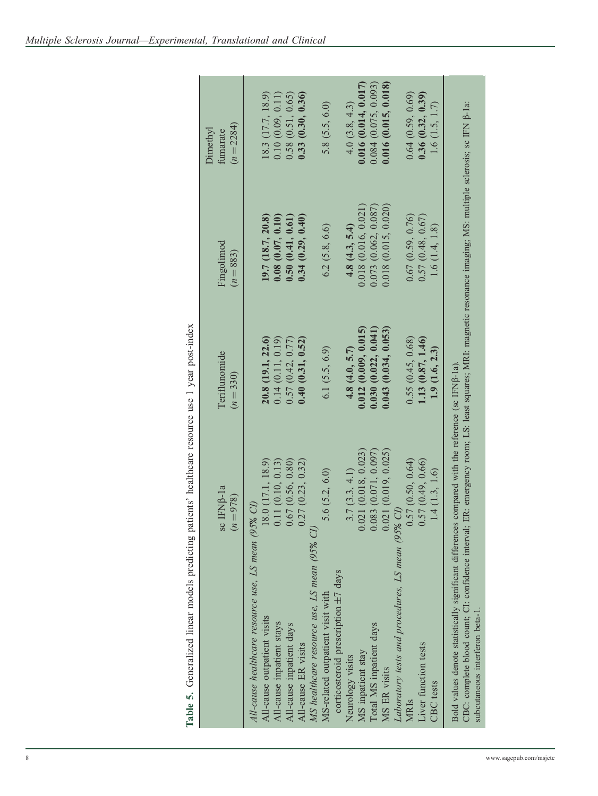|                                                                                                                                                                                             | IFN <sub>B-1a</sub><br>$(n = 978)$<br><b>SC</b> | Teriflunomide<br>$(n=330)$                                                                                   | Fingolimod<br>$(n = 883)$ | $(n = 2284)$<br>Dimethyl<br>fumarate |
|---------------------------------------------------------------------------------------------------------------------------------------------------------------------------------------------|-------------------------------------------------|--------------------------------------------------------------------------------------------------------------|---------------------------|--------------------------------------|
| All-cause healthcare resource use, LS mean (95% CI)                                                                                                                                         |                                                 |                                                                                                              |                           |                                      |
| All-cause outpatient visits                                                                                                                                                                 | 18.0 (17.1, 18.9)                               | 20.8 (19.1, 22.6)                                                                                            | 19.7 (18.7, 20.8)         | 18.3 (17.7, 18.9)                    |
| All-cause inpatient stays                                                                                                                                                                   | 0.11(0.10, 0.13)                                | 0.14(0.11, 0.19)                                                                                             | 0.08(0.07, 0.10)          | 0.10(0.09, 0.11)                     |
| All-cause inpatient days                                                                                                                                                                    | 0.67(0.56, 0.80)                                | 0.57(0.42, 0.77)                                                                                             | 0.50(0.41, 0.61)          | 0.58(0.51, 0.65)                     |
| All-cause ER visits                                                                                                                                                                         | 0.27(0.23, 0.32)                                | 0.40(0.31, 0.52)                                                                                             | 0.34(0.29, 0.40)          | 0.33(0.30, 0.36)                     |
| MS healthcare resource use, LS mean (95% CI)                                                                                                                                                |                                                 |                                                                                                              |                           |                                      |
| MS-related outpatient visit with                                                                                                                                                            | 5.6(5.2, 6.0)                                   | 6.1(5.5, 6.9)                                                                                                | 6.2(5.8, 6.6)             | 5.8(5.5, 6.0)                        |
| corticosteroid prescription $\pm$ 7 days                                                                                                                                                    |                                                 |                                                                                                              |                           |                                      |
| Neurology visits                                                                                                                                                                            | 3.7(3.3, 4.1)                                   | 4.8(4.0, 5.7)                                                                                                | 4.8(4.3, 5.4)             | 4.0(3.8, 4.3)                        |
| MS inpatient stay                                                                                                                                                                           | 0.021(0.018, 0.023)                             | 0.012(0.009, 0.015)                                                                                          | 0.018(0.016, 0.021)       | 0.016(0.014, 0.017)                  |
| Total MS inpatient days                                                                                                                                                                     | 0.083(0.071, 0.097)                             | 0.030(0.022, 0.041)                                                                                          | 0.073(0.062, 0.087)       | 0.084 (0.075, 0.093)                 |
| <b>MS ER visits</b>                                                                                                                                                                         | 0.021(0.019, 0.025)                             | 0.043(0.034, 0.053)                                                                                          | 0.018(0.015, 0.020)       | 0.016 (0.015, 0.018)                 |
| Laboratory tests and procedures, LS mean (95% CI)                                                                                                                                           |                                                 |                                                                                                              |                           |                                      |
| <b>MRIs</b>                                                                                                                                                                                 | 0.57(0.50, 0.64)                                | 0.55(0.45, 0.68)                                                                                             | 0.67(0.59, 0.76)          | 0.64(0.59, 0.69)                     |
| Liver function tests                                                                                                                                                                        | 0.57 (0.49, 0.66)                               | 1.13 (0.87, 1.46)                                                                                            | 0.57(0.48, 0.67)          | 0.36(0.32, 0.39)                     |
| CBC tests                                                                                                                                                                                   | 1.4(1.3, 1.6)                                   | 1.9(1.6, 2.3)                                                                                                | 1.6 $(1.4, 1.8)$          | 1.6(1.5, 1.7)                        |
| Bold values denote statistically significant differences compared with the reference (sc IFN6-1a)<br>CBC: complete blood count; CI: confidence interval;<br>subcutaneous interferon beta-1. |                                                 | ER: emergency room; LS: least squares; MRI: magnetic resonance imaging; MS: multiple sclerosis; sc IFN β-1a: |                           |                                      |

Table 5. Generalized linear models predicting patients' healthcare resource use 1 year post-index

Table 5. Generalized linear models predicting patients' healthcare resource use 1 year post-index

8 www.sagepub.com/msjetc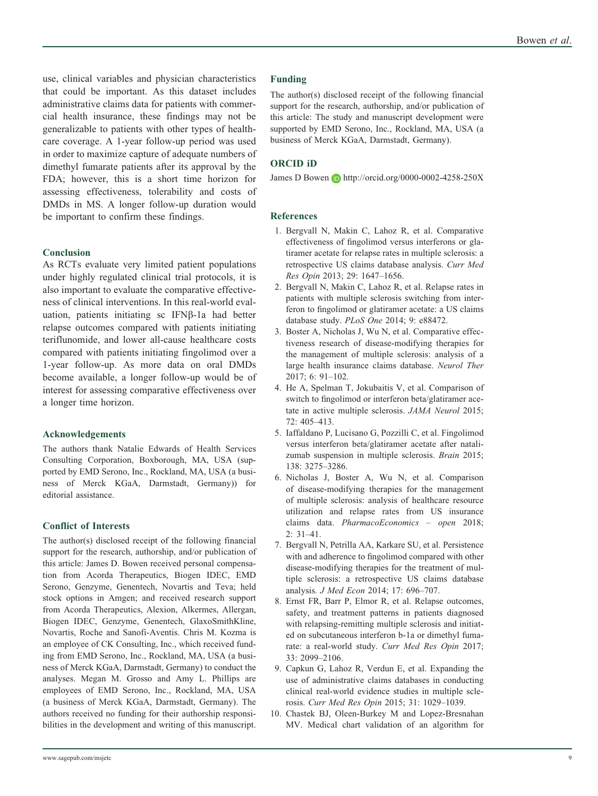use, clinical variables and physician characteristics that could be important. As this dataset includes administrative claims data for patients with commercial health insurance, these findings may not be generalizable to patients with other types of healthcare coverage. A 1-year follow-up period was used in order to maximize capture of adequate numbers of dimethyl fumarate patients after its approval by the FDA; however, this is a short time horizon for assessing effectiveness, tolerability and costs of DMDs in MS. A longer follow-up duration would be important to confirm these findings.

#### Conclusion

As RCTs evaluate very limited patient populations under highly regulated clinical trial protocols, it is also important to evaluate the comparative effectiveness of clinical interventions. In this real-world evaluation, patients initiating sc IFN $\beta$ -1a had better relapse outcomes compared with patients initiating teriflunomide, and lower all-cause healthcare costs compared with patients initiating fingolimod over a 1-year follow-up. As more data on oral DMDs become available, a longer follow-up would be of interest for assessing comparative effectiveness over a longer time horizon.

#### Acknowledgements

The authors thank Natalie Edwards of Health Services Consulting Corporation, Boxborough, MA, USA (supported by EMD Serono, Inc., Rockland, MA, USA (a business of Merck KGaA, Darmstadt, Germany)) for editorial assistance.

#### Conflict of Interests

The author(s) disclosed receipt of the following financial support for the research, authorship, and/or publication of this article: James D. Bowen received personal compensation from Acorda Therapeutics, Biogen IDEC, EMD Serono, Genzyme, Genentech, Novartis and Teva; held stock options in Amgen; and received research support from Acorda Therapeutics, Alexion, Alkermes, Allergan, Biogen IDEC, Genzyme, Genentech, GlaxoSmithKline, Novartis, Roche and Sanofi-Aventis. Chris M. Kozma is an employee of CK Consulting, Inc., which received funding from EMD Serono, Inc., Rockland, MA, USA (a business of Merck KGaA, Darmstadt, Germany) to conduct the analyses. Megan M. Grosso and Amy L. Phillips are employees of EMD Serono, Inc., Rockland, MA, USA (a business of Merck KGaA, Darmstadt, Germany). The authors received no funding for their authorship responsibilities in the development and writing of this manuscript.

#### Funding

The author(s) disclosed receipt of the following financial support for the research, authorship, and/or publication of this article: The study and manuscript development were supported by EMD Serono, Inc., Rockland, MA, USA (a business of Merck KGaA, Darmstadt, Germany).

#### ORCID iD

James D Bowen **D** <http://orcid.org/0000-0002-4258-250X>

#### References

- 1. Bergvall N, Makin C, Lahoz R, et al. Comparative effectiveness of fingolimod versus interferons or glatiramer acetate for relapse rates in multiple sclerosis: a retrospective US claims database analysis. Curr Med Res Opin 2013; 29: 1647–1656.
- 2. Bergvall N, Makin C, Lahoz R, et al. Relapse rates in patients with multiple sclerosis switching from interferon to fingolimod or glatiramer acetate: a US claims database study. PLoS One 2014; 9: e88472.
- 3. Boster A, Nicholas J, Wu N, et al. Comparative effectiveness research of disease-modifying therapies for the management of multiple sclerosis: analysis of a large health insurance claims database. Neurol Ther 2017; 6: 91–102.
- 4. He A, Spelman T, Jokubaitis V, et al. Comparison of switch to fingolimod or interferon beta/glatiramer acetate in active multiple sclerosis. JAMA Neurol 2015; 72: 405–413.
- 5. Iaffaldano P, Lucisano G, Pozzilli C, et al. Fingolimod versus interferon beta/glatiramer acetate after natalizumab suspension in multiple sclerosis. Brain 2015; 138: 3275–3286.
- 6. Nicholas J, Boster A, Wu N, et al. Comparison of disease-modifying therapies for the management of multiple sclerosis: analysis of healthcare resource utilization and relapse rates from US insurance claims data. PharmacoEconomics – open 2018; 2: 31–41.
- 7. Bergvall N, Petrilla AA, Karkare SU, et al. Persistence with and adherence to fingolimod compared with other disease-modifying therapies for the treatment of multiple sclerosis: a retrospective US claims database analysis. J Med Econ 2014; 17: 696–707.
- 8. Ernst FR, Barr P, Elmor R, et al. Relapse outcomes, safety, and treatment patterns in patients diagnosed with relapsing-remitting multiple sclerosis and initiated on subcutaneous interferon b-1a or dimethyl fumarate: a real-world study. Curr Med Res Opin 2017; 33: 2099–2106.
- 9. Capkun G, Lahoz R, Verdun E, et al. Expanding the use of administrative claims databases in conducting clinical real-world evidence studies in multiple sclerosis. Curr Med Res Opin 2015; 31: 1029–1039.
- 10. Chastek BJ, Oleen-Burkey M and Lopez-Bresnahan MV. Medical chart validation of an algorithm for